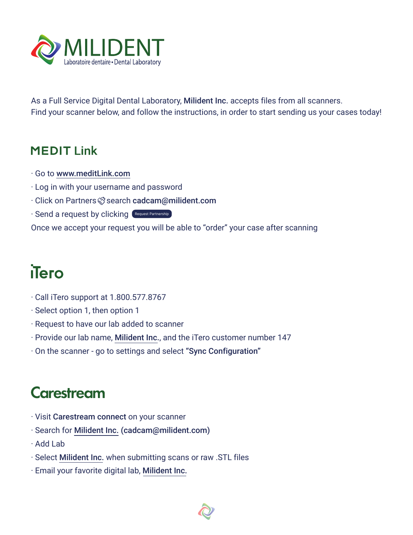

As a Full Service Digital Dental Laboratory, Milident Inc. accepts files from all scanners. Find your scanner below, and follow the instructions, in order to start sending us your cases today!

## **MEDIT Link**

- · Go to [www.meditLink.com](https://www.meditlink.com/home)
- · Log in with your username and password
- · Click on Partners Search [cadcam@milident.com](mailto:cadcam@milident.com)
- · Send a request by clicking (Request Partnership

Once we accept your request you will be able to "order" your case after scanning

## iTero

- · Call iTero support at 1.800.577.8767
- · Select option 1, then option 1
- · Request to have our lab added to scanner
- · Provide our lab name, Milident Inc., and the iTero customer number 147
- · On the scanner go to settings and select "Sync Configuration"

## **Carestream**

- · Visit Carestream connect on your scanner
- · Search for Milident Inc. [\(cadcam@milident.com\)](mailto:cadcam@milident.com)
- · Add Lab
- · Select Milident Inc. when submitting scans or raw .STL files
- · Email your favorite digital lab, Milident Inc.